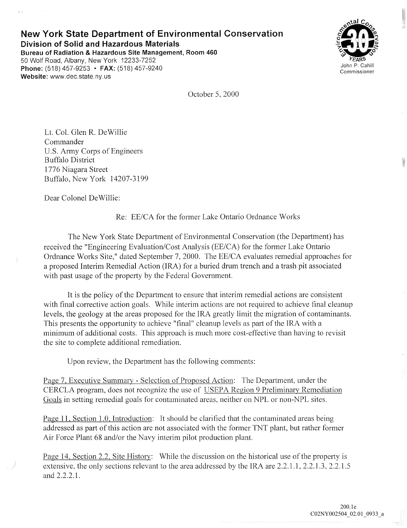## **New York State Department of Environmental Conservation Division of Solid and Hazardous Materials Bureau of Radiation & Hazardous Site Management, Room 460**  50 Wolf Road, Albany, New York 12233-7252 **Phone:** (518) 457-9253 **• FAX:** (518) 457-9240 **Website:** www.dec.state.ny.us



October 5, 2000

Lt. Col. Glen R. DeWillie Commander U.S. Army Corps of Engineers Buffalo District 1776 Niagara Street Buffalo, New York 14207-3199

Dear Colonel De Willie:

Re: EE/CA for the former Lake Ontario Ordnance Works

The New York State Department of Environmental Conservation (the Department) has received the "Engineering Evaluation/Cost Analysis (EE/CA) for the former Lake Ontario Ordnance Works Site," dated September 7, 2000. The EE/CA evaluates remedial approaches for a proposed Interim Remedial Action (IRA) for a buried drum trench and a trash pit associated with past usage of the property by the Federal Government.

It is the policy of the Department to ensure that interim remedial actions are consistent with final corrective action goals. While interim actions are not required to achieve final cleanup levels, the geology at the areas proposed for the IRA greatly limit the migration of contaminants. This presents the opportunity to achieve "final" cleanup levels as part of the IRA with a minimum of additional costs. This approach is much more cost-effective than having to revisit the site to complete additional remediation.

Upon review, the Department has the following comments:

Page 7, Executive Summary - Selection of Proposed Action: The Department, under the CERCLA program, does not recognize the use of USEPA Region 9 Preliminary Remediation Goals in setting remedial goals for contaminated areas, neither on NPL or non-NPL sites.

Page 11, Section 1.0, Introduction: It should be clarified that the contaminated areas being addressed as part of this action arc not associated with the former TNT plant, but rather former Air Force Plant 68 and/or the Navy interim pilot production plant.

Page 14, Section 2.2, Site History: While the discussion on the historical use of the property is extensive, the only sections relevant to the area addressed by the IRA are 2.2.1.1, 2.2.1.3, 2.2.1.5 and 2.2.2.1.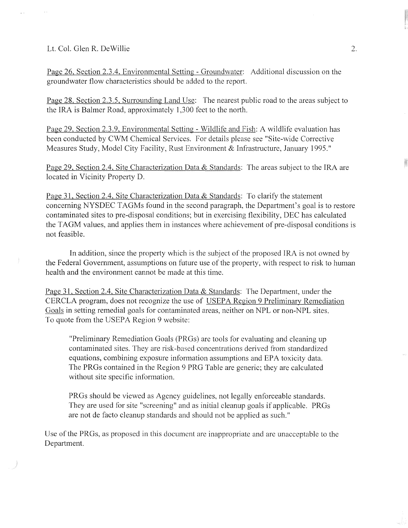## Lt. Col. Glen R. De Willie

Page 26, Section 2.3.4, Environmental Setting - Groundwater: Additional discussion on the groundwater flow characteristics should be added to the report.

Page 28, Section 2.3.5, Surrounding Land Use: The nearest public road to the areas subject to the IRA is Balmer Road, approximately 1,300 feet to the north.

Page 29, Section 2.3.9, Environmental Setting - Wildlife and Fish: A wildlife evaluation has been conducted by CWM Chemical Services. For details please see "Site-wide Corrective Measures Study, Model City Facility, Rust Environment & Infrastructure, January 1995."

Page 29, Section 2.4, Site Characterization Data & Standards: The areas subject to the IRA are located in Vicinity Property D.

Page 31, Section 2.4, Site Characterization Data & Standards: To clarify the statement concerning NYSDEC TAGMs found in the second paragraph, the Department's goal is to restore contaminated sites to pre-disposal conditions; but in exercising flexibility, DEC has calculated the TAGM values, and applies them in instances where achievement of pre-disposal conditions is not feasible.

In addition, since the property which is the subject of the proposed IRA is not owned by the Federal Government, assumptions on future use of the property, with respect to risk to human health and the environment cannot be made at this time.

Page 31, Section 2.4, Site Characterization Data & Standards: The Department, under the CERCLA program, does not recognize the use of USEPA Region 9 Preliminary Remediation Goals in setting remedial goals for contaminated areas, neither on NPL or non-NPL sites. To quote from the USEPA Region 9 website:

"Preliminary Remediation Goals (PRGs) are tools for evaluating and cleaning up contaminated sites. They are risk-based concentrations derived from standardized equations, combining exposure information assumptions and EPA toxicity data. The PRGs contained in the Region 9 PRG Table are generic; they are calculated without site specific information.

PRGs should be viewed as Agency guidelines, not legally enforceable standards. They are used for site "screening" and as initial cleanup goals if applicable. PRGs are not de facto cleanup standards and should not be applied as such."

Use of the PRGs, as proposed in this document are inappropriate and are unacceptable to the Department.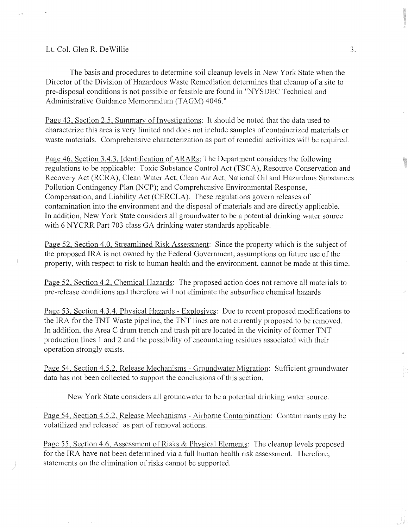## Lt. Col. Glen R. De Willie

The basis and procedures to determine soil cleanup levels in New York State when the Director of the Division of Hazardous Waste Remediation determines that cleanup of a site to pre-disposal conditions is not possible or feasible are found in "NYSDEC Technical and Administrative Guidance Memorandum (TAGM) 4046."

Page 43, Section 2.5, Summary of Investigations: It should be noted that the data used to characterize this area is very limited and does not include samples of containerized materials or waste materials. Comprehensive characterization as part of remedial activities will be required.

Page 46, Section 3.4.3, Identification of ARARs: The Department considers the following regulations to be applicable: Toxic Substance Control Act (TSCA), Resource Conservation and Recovery Act (RCRA), Clean Water Act, Clean Air Act, National Oil and Hazardous Substances Pollution Contingency Plan (NCP); and Comprehensive Environmental Response, Compensation, and Liability Act (CERCLA). These regulations govern releases of contamination into the environment and the disposal of materials and are directly applicable. In addition, New York State considers all groundwater to be a potential drinking water source with 6 NYCRR Part 703 class GA drinking water standards applicable.

Page 52, Section 4.0, Streamlined Risk Assessment: Since the property which is the subject of the proposed IRA is not owned by the Federal Government, assumptions on future use of the property, with respect to risk to human health and the environment, cannot be made at this time.

Page 52, Section 4.2, Chemical Hazards: The proposed action does not remove all materials to pre-release conditions and therefore will not eliminate the subsurface chemical hazards

Page 53, Section 4.3.4, Physical Hazards - Explosives: Due to recent proposed modifications to the IRA for the TNT Waste pipeline, the TNT lines are not currently proposed to be removed. In addition, the Area C drum trench and trash pit are located in the vicinity of former TNT production lines 1 and 2 and the possibility of encountering residues associated with their operation strongly exists.

Page 54, Section 4.5.2, Release Mechanisms - Groundwater Migration: Sufficient groundwater data has not been collected to support the conclusions of this section.

New York State considers all groundwater to be a potential drinking water source.

Page 54, Section 4.5.2, Release Mechanisms - Airborne Contamination: Contaminants may be volatilized and released as part of removal actions.

Page 55, Section 4.6, Assessment of Risks & Physical Elements: The cleanup levels proposed for the IRA have not been determined via a full human health risk assessment. Therefore, statements on the elimination of risks cannot be supported.

3.